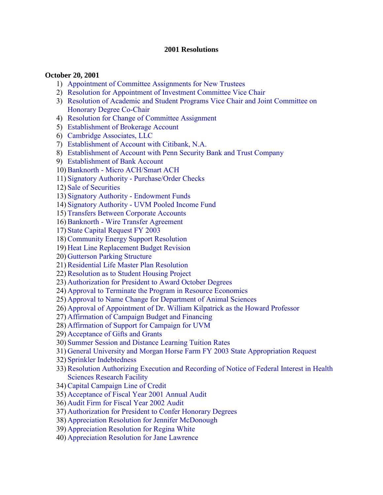#### **2001 Resolutions**

#### **October 20, 2001**

- 1) [Appointment of Committee Assignments for New Trustees](#page-3-0)
- 2) [Resolution for Appointment of Investment Committee Vice Chair](#page-3-0)
- 3) [Resolution of Academic and Student Programs Vice Chair and Joint Committee on](#page-3-0)  Honorary Degree Co-Chair
- 4) [Resolution for Change of Committee Assignment](#page-3-0)
- 5) [Establishment of Brokerage Account](#page-3-0)
- 6) [Cambridge Associates, LLC](#page-4-0)
- 7) [Establishment of Account with Citibank, N.A.](#page-4-0)
- 8) [Establishment of Account with Penn Security Bank and Trust Company](#page-5-0)
- 9) [Establishment of Bank Account](#page-5-0)
- 10)[Banknorth Micro ACH/Smart ACH](#page-5-0)
- 11) [Signatory Authority Purchase/Order Checks](#page-6-0)
- 12) [Sale of Securities](#page-6-0)
- 13) [Signatory Authority Endowment Funds](#page-6-0)
- 14) [Signatory Authority UVM Pooled Income Fund](#page-7-0)
- 15) [Transfers Between Corporate Accounts](#page-7-0)
- 16)[Banknorth Wire Transfer Agreement](#page-7-0)
- 17) [State Capital Request FY 2003](#page-8-0)
- 18)[Community Energy Support Resolution](#page-8-0)
- 19) [Heat Line Replacement Budget Revision](#page-8-0)
- 20) [Gutterson Parking Structure](#page-9-0)
- 21)[Residential Life Master Plan Resolution](#page-10-0)
- 22)[Resolution as to Student Housing Project](#page-10-0)
- 23) [Authorization for President to Award October Degrees](#page-11-0)
- 24) [Approval to Terminate the Program in Resource Economics](#page-11-0)
- 25) [Approval to Name Change for Department of Animal Sciences](#page-11-0)
- 26) [Approval of Appointment of Dr. William Kilpatrick as the Howard Professor](#page-11-0)
- 27) [Affirmation of Campaign Budget and Financing](#page-11-0)
- 28) [Affirmation of Support for Campaign for UVM](#page-12-0)
- 29) [Acceptance of Gifts and Grants](#page-12-0)
- 30) [Summer Session and Distance Learning Tuition Rates](#page-13-0)
- 31) [General University and Morgan Horse Farm FY 2003 State Appropriation Request](#page-13-0)
- 32) [Sprinkler Indebtedness](#page-13-0)
- 33)[Resolution Authorizing Execution and Recording of Notice of Federal Interest in Health](#page-14-0) Sciences Research Facility
- 34)[Capital Campaign Line of Credit](#page-14-0)
- 35) [Acceptance of Fiscal Year 2001 Annual Audit](#page-15-0)
- 36) [Audit Firm for Fiscal Year 2002 Audit](#page-15-0)
- 37) [Authorization for President to Confer Honorary Degrees](#page-15-0)
- 38) [Appreciation Resolution for Jennifer McDonough](#page-15-0)
- 39) [Appreciation Resolution for Regina White](#page-16-0)
- 40) [Appreciation Resolution for Jane Lawrence](#page-16-0)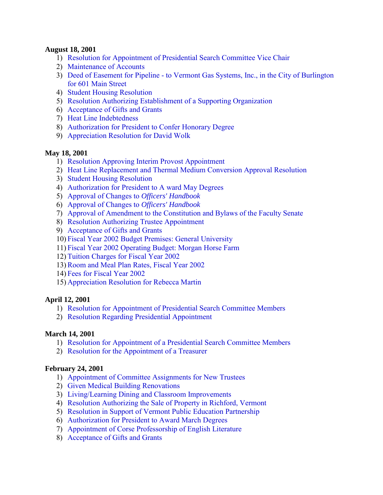#### **August 18, 2001**

- 1) [Resolution for Appointment of Presidential Search Committee Vice Chair](#page-17-0)
- 2) [Maintenance of Accounts](#page-17-0)
- 3) [Deed of Easement for Pipeline to Vermont Gas Systems, Inc., in the City of Burlington](#page-17-0)  for 601 Main Street
- 4) [Student Housing Resolution](#page-18-0)
- 5) [Resolution Authorizing Establishment of a Supporting Organization](#page-18-0)
- 6) [Acceptance of Gifts and Grants](#page-19-0)
- 7) [Heat Line Indebtedness](#page-19-0)
- 8) [Authorization for President to Confer Honorary Degree](#page-20-0)
- 9) [Appreciation Resolution for David Wolk](#page-20-0)

### **May 18, 2001**

- 1) [Resolution Approving Interim Provost Appointment](#page-21-0)
- 2) [Heat Line Replacement and Thermal Medium Conversion Approval Resolution](#page-21-0)
- 3) [Student Housing Resolution](#page-22-0)
- 4) [Authorization for President to A ward May Degrees](#page-22-0)
- 5) [Approval of Changes to](#page-23-0) *Officers' Handbook*
- 6) [Approval of Changes to](#page-23-0) *Officers' Handbook*
- 7) [Approval of Amendment to the Constitution and Bylaws of the Faculty Senate](#page-23-0)
- 8) [Resolution Authorizing Trustee Appointment](#page-23-0)
- 9) [Acceptance of Gifts and Grants](#page-24-0)
- 10) [Fiscal Year 2002 Budget Premises: General University](#page-24-0)
- 11) [Fiscal Year 2002 Operating Budget: Morgan Horse Farm](#page-24-0)
- 12) [Tuition Charges for Fiscal Year 2002](#page-24-0)
- 13)[Room and Meal Plan Rates, Fiscal Year 2002](#page-24-0)
- 14) [Fees for Fiscal Year 2002](#page-25-0)
- 15) [Appreciation Resolution for Rebecca Martin](#page-25-0)

# **April 12, 2001**

- 1) [Resolution for Appointment of Presidential Search Committee Members](#page-26-0)
- 2) [Resolution Regarding Presidential Appointment](#page-26-0)

### **March 14, 2001**

- 1) [Resolution for Appointment of a Presidential Search Committee Members](#page-27-0)
- 2) [Resolution for the Appointment of a Treasurer](#page-27-0)

### **February 24, 2001**

- 1) [Appointment of Committee Assignments for New Trustees](#page-28-0)
- 2) [Given Medical Building Renovations](#page-28-0)
- 3) [Living/Learning Dining and Classroom Improvements](#page-28-0)
- 4) [Resolution Authorizing the Sale of Property in Richford, Vermont](#page-29-0)
- 5) [Resolution in Support of Vermont Public Education Partnership](#page-30-0)
- 6) [Authorization for President to Award March Degrees](#page-30-0)
- 7) [Appointment of Corse Professorship of English Literature](#page-30-0)
- 8) [Acceptance of Gifts and Grants](#page-30-0)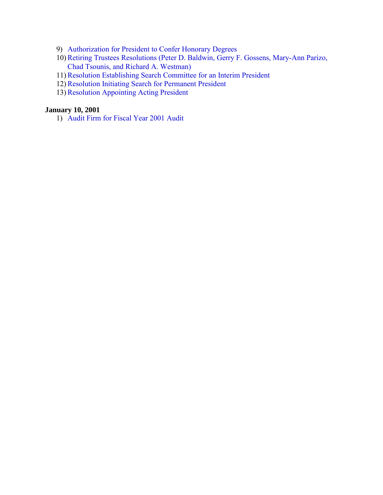- 9) [Authorization for President to Confer Honorary Degrees](#page-31-0)
- 10)[Retiring Trustees Resolutions \(Peter D. Baldwin, Gerry F. Gossens, Mary-Ann Parizo,](#page-31-0)  Chad Tsounis, and Richard A. Westman)
- 11)[Resolution Establishing Search Committee for an Interim President](#page-33-0)
- 12) [Resolution Initiating Search for Permanent President](#page-33-0)
- 13)[Resolution Appointing Acting President](#page-33-0)

### **January 10, 2001**

1) [Audit Firm for Fiscal Year 2001 Audit](#page-35-0)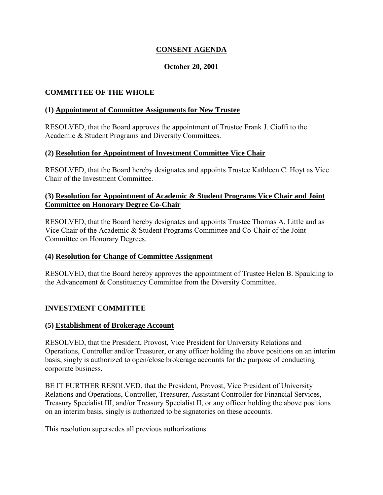# **CONSENT AGENDA**

#### **October 20, 2001**

#### <span id="page-3-0"></span>**COMMITTEE OF THE WHOLE**

#### **(1) Appointment of Committee Assignments for New Trustee**

RESOLVED, that the Board approves the appointment of Trustee Frank J. Cioffi to the Academic & Student Programs and Diversity Committees.

#### **(2) Resolution for Appointment of Investment Committee Vice Chair**

RESOLVED, that the Board hereby designates and appoints Trustee Kathleen C. Hoyt as Vice Chair of the Investment Committee.

#### **(3) Resolution for Appointment of Academic & Student Programs Vice Chair and Joint Committee on Honorary Degree Co-Chair**

RESOLVED, that the Board hereby designates and appoints Trustee Thomas A. Little and as Vice Chair of the Academic & Student Programs Committee and Co-Chair of the Joint Committee on Honorary Degrees.

#### **(4) Resolution for Change of Committee Assignment**

RESOLVED, that the Board hereby approves the appointment of Trustee Helen B. Spaulding to the Advancement & Constituency Committee from the Diversity Committee.

#### **INVESTMENT COMMITTEE**

#### **(5) Establishment of Brokerage Account**

RESOLVED, that the President, Provost, Vice President for University Relations and Operations, Controller and/or Treasurer, or any officer holding the above positions on an interim basis, singly is authorized to open/close brokerage accounts for the purpose of conducting corporate business.

BE IT FURTHER RESOLVED, that the President, Provost, Vice President of University Relations and Operations, Controller, Treasurer, Assistant Controller for Financial Services, Treasury Specialist III, and/or Treasury Specialist II, or any officer holding the above positions on an interim basis, singly is authorized to be signatories on these accounts.

This resolution supersedes all previous authorizations.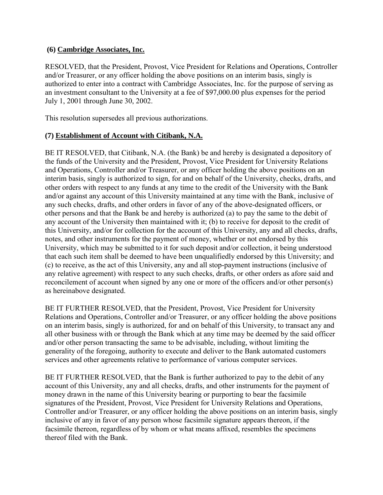### <span id="page-4-0"></span>**(6) Cambridge Associates, Inc.**

RESOLVED, that the President, Provost, Vice President for Relations and Operations, Controller and/or Treasurer, or any officer holding the above positions on an interim basis, singly is authorized to enter into a contract with Cambridge Associates, Inc. for the purpose of serving as an investment consultant to the University at a fee of \$97,000.00 plus expenses for the period July 1, 2001 through June 30, 2002.

This resolution supersedes all previous authorizations.

# **(7) Establishment of Account with Citibank, N.A.**

BE IT RESOLVED, that Citibank, N.A. (the Bank) be and hereby is designated a depository of the funds of the University and the President, Provost, Vice President for University Relations and Operations, Controller and/or Treasurer, or any officer holding the above positions on an interim basis, singly is authorized to sign, for and on behalf of the University, checks, drafts, and other orders with respect to any funds at any time to the credit of the University with the Bank and/or against any account of this University maintained at any time with the Bank, inclusive of any such checks, drafts, and other orders in favor of any of the above-designated officers, or other persons and that the Bank be and hereby is authorized (a) to pay the same to the debit of any account of the University then maintained with it; (b) to receive for deposit to the credit of this University, and/or for collection for the account of this University, any and all checks, drafts, notes, and other instruments for the payment of money, whether or not endorsed by this University, which may be submitted to it for such deposit and/or collection, it being understood that each such item shall be deemed to have been unqualifiedly endorsed by this University; and (c) to receive, as the act of this University, any and all stop-payment instructions (inclusive of any relative agreement) with respect to any such checks, drafts, or other orders as afore said and reconcilement of account when signed by any one or more of the officers and/or other person(s) as hereinabove designated.

BE IT FURTHER RESOLVED, that the President, Provost, Vice President for University Relations and Operations, Controller and/or Treasurer, or any officer holding the above positions on an interim basis, singly is authorized, for and on behalf of this University, to transact any and all other business with or through the Bank which at any time may be deemed by the said officer and/or other person transacting the same to be advisable, including, without limiting the generality of the foregoing, authority to execute and deliver to the Bank automated customers services and other agreements relative to performance of various computer services.

BE IT FURTHER RESOLVED, that the Bank is further authorized to pay to the debit of any account of this University, any and all checks, drafts, and other instruments for the payment of money drawn in the name of this University bearing or purporting to bear the facsimile signatures of the President, Provost, Vice President for University Relations and Operations, Controller and/or Treasurer, or any officer holding the above positions on an interim basis, singly inclusive of any in favor of any person whose facsimile signature appears thereon, if the facsimile thereon, regardless of by whom or what means affixed, resembles the specimens thereof filed with the Bank.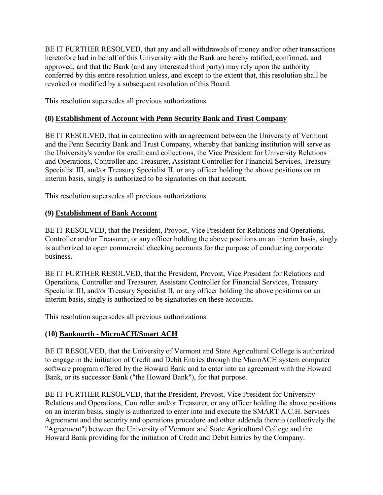<span id="page-5-0"></span>BE IT FURTHER RESOLVED, that any and all withdrawals of money and/or other transactions heretofore had in behalf of this University with the Bank are hereby ratified, confirmed, and approved, and that the Bank (and any interested third party) may rely upon the authority conferred by this entire resolution unless, and except to the extent that, this resolution shall be revoked or modified by a subsequent resolution of this Board.

This resolution supersedes all previous authorizations.

# **(8) Establishment of Account with Penn Security Bank and Trust Company**

BE IT RESOLVED, that in connection with an agreement between the University of Vermont and the Penn Security Bank and Trust Company, whereby that banking institution will serve as the University's vendor for credit card collections, the Vice President for University Relations and Operations, Controller and Treasurer, Assistant Controller for Financial Services, Treasury Specialist III, and/or Treasury Specialist II, or any officer holding the above positions on an interim basis, singly is authorized to be signatories on that account.

This resolution supersedes all previous authorizations.

# **(9) Establishment of Bank Account**

BE IT RESOLVED, that the President, Provost, Vice President for Relations and Operations, Controller and/or Treasurer, or any officer holding the above positions on an interim basis, singly is authorized to open commercial checking accounts for the purpose of conducting corporate business.

BE IT FURTHER RESOLVED, that the President, Provost, Vice President for Relations and Operations, Controller and Treasurer, Assistant Controller for Financial Services, Treasury Specialist III, and/or Treasury Specialist II, or any officer holding the above positions on an interim basis, singly is authorized to be signatories on these accounts.

This resolution supersedes all previous authorizations.

# **(10) Banknorth** - **MicroACH/Smart ACH**

BE IT RESOLVED, that the University of Vermont and State Agricultural College is authorized to engage in the initiation of Credit and Debit Entries through the MicroACH system computer software program offered by the Howard Bank and to enter into an agreement with the Howard Bank, or its successor Bank ("the Howard Bank"), for that purpose.

BE IT FURTHER RESOLVED, that the President, Provost, Vice President for University Relations and Operations, Controller and/or Treasurer, or any officer holding the above positions on an interim basis, singly is authorized to enter into and execute the SMART A.C.H. Services Agreement and the security and operations procedure and other addenda thereto (collectively the "Agreement") between the University of Vermont and State Agricultural College and the Howard Bank providing for the initiation of Credit and Debit Entries by the Company.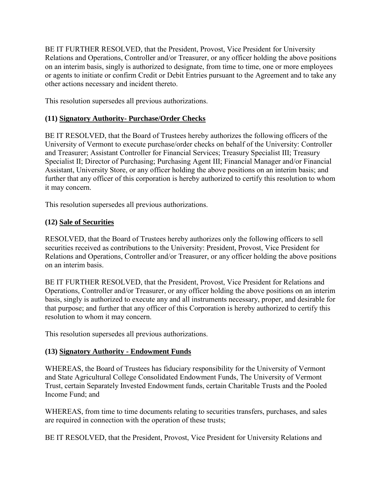<span id="page-6-0"></span>BE IT FURTHER RESOLVED, that the President, Provost, Vice President for University Relations and Operations, Controller and/or Treasurer, or any officer holding the above positions on an interim basis, singly is authorized to designate, from time to time, one or more employees or agents to initiate or confirm Credit or Debit Entries pursuant to the Agreement and to take any other actions necessary and incident thereto.

This resolution supersedes all previous authorizations.

# **(11) Signatory Authority- Purchase/Order Checks**

BE IT RESOLVED, that the Board of Trustees hereby authorizes the following officers of the University of Vermont to execute purchase/order checks on behalf of the University: Controller and Treasurer; Assistant Controller for Financial Services; Treasury Specialist III; Treasury Specialist II; Director of Purchasing; Purchasing Agent III; Financial Manager and/or Financial Assistant, University Store, or any officer holding the above positions on an interim basis; and further that any officer of this corporation is hereby authorized to certify this resolution to whom it may concern.

This resolution supersedes all previous authorizations.

# **(12) Sale of Securities**

RESOLVED, that the Board of Trustees hereby authorizes only the following officers to sell securities received as contributions to the University: President, Provost, Vice President for Relations and Operations, Controller and/or Treasurer, or any officer holding the above positions on an interim basis.

BE IT FURTHER RESOLVED, that the President, Provost, Vice President for Relations and Operations, Controller and/or Treasurer, or any officer holding the above positions on an interim basis, singly is authorized to execute any and all instruments necessary, proper, and desirable for that purpose; and further that any officer of this Corporation is hereby authorized to certify this resolution to whom it may concern.

This resolution supersedes all previous authorizations.

# **(13) Signatory Authority - Endowment Funds**

WHEREAS, the Board of Trustees has fiduciary responsibility for the University of Vermont and State Agricultural College Consolidated Endowment Funds, The University of Vermont Trust, certain Separately Invested Endowment funds, certain Charitable Trusts and the Pooled Income Fund; and

WHEREAS, from time to time documents relating to securities transfers, purchases, and sales are required in connection with the operation of these trusts;

BE IT RESOLVED, that the President, Provost, Vice President for University Relations and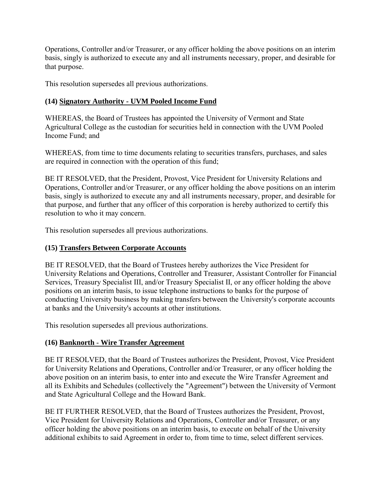<span id="page-7-0"></span>Operations, Controller and/or Treasurer, or any officer holding the above positions on an interim basis, singly is authorized to execute any and all instruments necessary, proper, and desirable for that purpose.

This resolution supersedes all previous authorizations.

# **(14) Signatory Authority - UVM Pooled Income Fund**

WHEREAS, the Board of Trustees has appointed the University of Vermont and State Agricultural College as the custodian for securities held in connection with the UVM Pooled Income Fund; and

WHEREAS, from time to time documents relating to securities transfers, purchases, and sales are required in connection with the operation of this fund;

BE IT RESOLVED, that the President, Provost, Vice President for University Relations and Operations, Controller and/or Treasurer, or any officer holding the above positions on an interim basis, singly is authorized to execute any and all instruments necessary, proper, and desirable for that purpose, and further that any officer of this corporation is hereby authorized to certify this resolution to who it may concern.

This resolution supersedes all previous authorizations.

# **(15) Transfers Between Corporate Accounts**

BE IT RESOLVED, that the Board of Trustees hereby authorizes the Vice President for University Relations and Operations, Controller and Treasurer, Assistant Controller for Financial Services, Treasury Specialist III, and/or Treasury Specialist II, or any officer holding the above positions on an interim basis, to issue telephone instructions to banks for the purpose of conducting University business by making transfers between the University's corporate accounts at banks and the University's accounts at other institutions.

This resolution supersedes all previous authorizations.

# **(16) Banknorth** - **Wire Transfer Agreement**

BE IT RESOLVED, that the Board of Trustees authorizes the President, Provost, Vice President for University Relations and Operations, Controller and/or Treasurer, or any officer holding the above position on an interim basis, to enter into and execute the Wire Transfer Agreement and all its Exhibits and Schedules (collectively the "Agreement") between the University of Vermont and State Agricultural College and the Howard Bank.

BE IT FURTHER RESOLVED, that the Board of Trustees authorizes the President, Provost, Vice President for University Relations and Operations, Controller and/or Treasurer, or any officer holding the above positions on an interim basis, to execute on behalf of the University additional exhibits to said Agreement in order to, from time to time, select different services.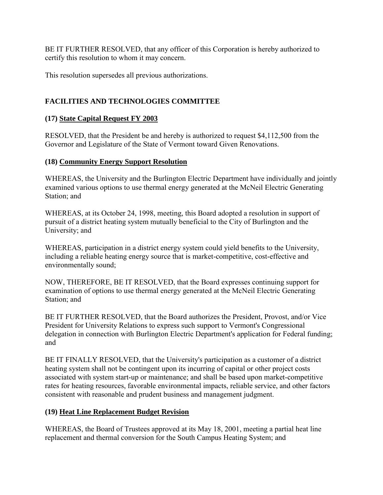<span id="page-8-0"></span>BE IT FURTHER RESOLVED, that any officer of this Corporation is hereby authorized to certify this resolution to whom it may concern.

This resolution supersedes all previous authorizations.

# **FACILITIES AND TECHNOLOGIES COMMITTEE**

## **(17) State Capital Request FY 2003**

RESOLVED, that the President be and hereby is authorized to request \$4,112,500 from the Governor and Legislature of the State of Vermont toward Given Renovations.

## **(18) Community Energy Support Resolution**

WHEREAS, the University and the Burlington Electric Department have individually and jointly examined various options to use thermal energy generated at the McNeil Electric Generating Station; and

WHEREAS, at its October 24, 1998, meeting, this Board adopted a resolution in support of pursuit of a district heating system mutually beneficial to the City of Burlington and the University; and

WHEREAS, participation in a district energy system could yield benefits to the University, including a reliable heating energy source that is market-competitive, cost-effective and environmentally sound;

NOW, THEREFORE, BE IT RESOLVED, that the Board expresses continuing support for examination of options to use thermal energy generated at the McNeil Electric Generating Station; and

BE IT FURTHER RESOLVED, that the Board authorizes the President, Provost, and/or Vice President for University Relations to express such support to Vermont's Congressional delegation in connection with Burlington Electric Department's application for Federal funding; and

BE IT FINALLY RESOLVED, that the University's participation as a customer of a district heating system shall not be contingent upon its incurring of capital or other project costs associated with system start-up or maintenance; and shall be based upon market-competitive rates for heating resources, favorable environmental impacts, reliable service, and other factors consistent with reasonable and prudent business and management judgment.

# **(19) Heat Line Replacement Budget Revision**

WHEREAS, the Board of Trustees approved at its May 18, 2001, meeting a partial heat line replacement and thermal conversion for the South Campus Heating System; and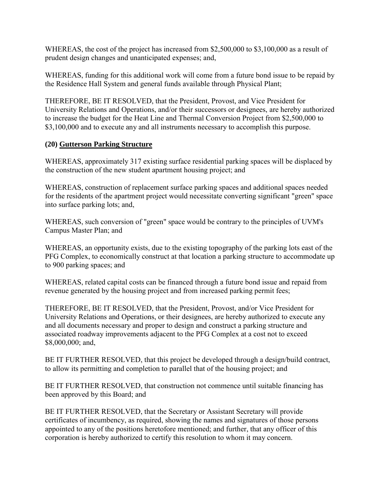<span id="page-9-0"></span>WHEREAS, the cost of the project has increased from \$2,500,000 to \$3,100,000 as a result of prudent design changes and unanticipated expenses; and,

WHEREAS, funding for this additional work will come from a future bond issue to be repaid by the Residence Hall System and general funds available through Physical Plant;

THEREFORE, BE IT RESOLVED, that the President, Provost, and Vice President for University Relations and Operations, and/or their successors or designees, are hereby authorized to increase the budget for the Heat Line and Thermal Conversion Project from \$2,500,000 to \$3,100,000 and to execute any and all instruments necessary to accomplish this purpose.

### **(20) Gutterson Parking Structure**

WHEREAS, approximately 317 existing surface residential parking spaces will be displaced by the construction of the new student apartment housing project; and

WHEREAS, construction of replacement surface parking spaces and additional spaces needed for the residents of the apartment project would necessitate converting significant "green" space into surface parking lots; and,

WHEREAS, such conversion of "green" space would be contrary to the principles of UVM's Campus Master Plan; and

WHEREAS, an opportunity exists, due to the existing topography of the parking lots east of the PFG Complex, to economically construct at that location a parking structure to accommodate up to 900 parking spaces; and

WHEREAS, related capital costs can be financed through a future bond issue and repaid from revenue generated by the housing project and from increased parking permit fees;

THEREFORE, BE IT RESOLVED, that the President, Provost, and/or Vice President for University Relations and Operations, or their designees, are hereby authorized to execute any and all documents necessary and proper to design and construct a parking structure and associated roadway improvements adjacent to the PFG Complex at a cost not to exceed \$8,000,000; and,

BE IT FURTHER RESOLVED, that this project be developed through a design/build contract, to allow its permitting and completion to parallel that of the housing project; and

BE IT FURTHER RESOLVED, that construction not commence until suitable financing has been approved by this Board; and

BE IT FURTHER RESOLVED, that the Secretary or Assistant Secretary will provide certificates of incumbency, as required, showing the names and signatures of those persons appointed to any of the positions heretofore mentioned; and further, that any officer of this corporation is hereby authorized to certify this resolution to whom it may concern.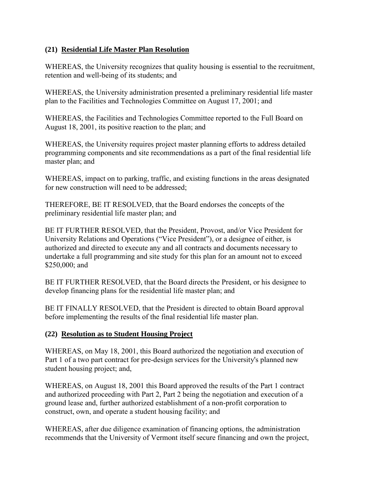### <span id="page-10-0"></span>**(21) Residential Life Master Plan Resolution**

WHEREAS, the University recognizes that quality housing is essential to the recruitment, retention and well-being of its students; and

WHEREAS, the University administration presented a preliminary residential life master plan to the Facilities and Technologies Committee on August 17, 2001; and

WHEREAS, the Facilities and Technologies Committee reported to the Full Board on August 18, 2001, its positive reaction to the plan; and

WHEREAS, the University requires project master planning efforts to address detailed programming components and site recommendations as a part of the final residential life master plan; and

WHEREAS, impact on to parking, traffic, and existing functions in the areas designated for new construction will need to be addressed;

THEREFORE, BE IT RESOLVED, that the Board endorses the concepts of the preliminary residential life master plan; and

BE IT FURTHER RESOLVED, that the President, Provost, and/or Vice President for University Relations and Operations ("Vice President"), or a designee of either, is authorized and directed to execute any and all contracts and documents necessary to undertake a full programming and site study for this plan for an amount not to exceed \$250,000; and

BE IT FURTHER RESOLVED, that the Board directs the President, or his designee to develop financing plans for the residential life master plan; and

BE IT FINALLY RESOLVED, that the President is directed to obtain Board approval before implementing the results of the final residential life master plan.

### **(22) Resolution as to Student Housing Project**

WHEREAS, on May 18, 2001, this Board authorized the negotiation and execution of Part 1 of a two part contract for pre-design services for the University's planned new student housing project; and,

WHEREAS, on August 18, 2001 this Board approved the results of the Part 1 contract and authorized proceeding with Part 2, Part 2 being the negotiation and execution of a ground lease and, further authorized establishment of a non-profit corporation to construct, own, and operate a student housing facility; and

WHEREAS, after due diligence examination of financing options, the administration recommends that the University of Vermont itself secure financing and own the project,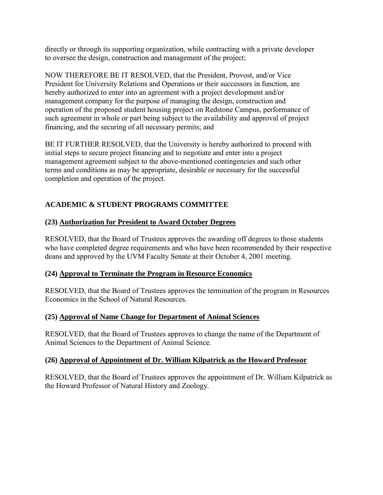<span id="page-11-0"></span>directly or through its supporting organization, while contracting with a private developer to oversee the design, construction and management of the project;

NOW THEREFORE BE IT RESOLVED, that the President, Provost, and/or Vice President for University Relations and Operations or their successors in function, are hereby authorized to enter into an agreement with a project development and/or management company for the purpose of managing the design, construction and operation of the proposed student housing project on Redstone Campus, performance of such agreement in whole or part being subject to the availability and approval of project financing, and the securing of all necessary permits; and

BE IT FURTHER RESOLVED, that the University is hereby authorized to proceed with initial steps to secure project financing and to negotiate and enter into a project management agreement subject to the above-mentioned contingencies and such other terms and conditions as may be appropriate, desirable or necessary for the successful completion and operation of the project.

# **ACADEMIC & STUDENT PROGRAMS COMMITTEE**

# **(23) Authorization for President to Award October Degrees**

RESOLVED, that the Board of Trustees approves the awarding off degrees to those students who have completed degree requirements and who have been recommended by their respective deans and approved by the UVM Faculty Senate at their October 4, 2001 meeting.

# **(24) Approval to Terminate the Program in Resource Economics**

RESOLVED, that the Board of Trustees approves the termination of the program in Resources Economics in the School of Natural Resources.

# **(25) Approval of Name Change for Department of Animal Sciences**

RESOLVED, that the Board of Trustees approves to change the name of the Department of Animal Sciences to the Department of Animal Science.

### **(26) Approval of Appointment of Dr. William Kilpatrick as the Howard Professor**

RESOLVED, that the Board of Trustees approves the appointment of Dr. William Kilpatrick as the Howard Professor of Natural History and Zoology.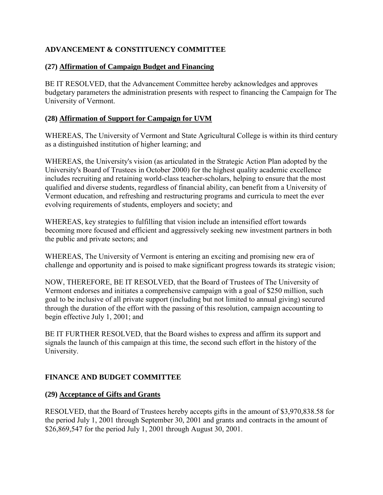# <span id="page-12-0"></span>**ADVANCEMENT & CONSTITUENCY COMMITTEE**

## **(27) Affirmation of Campaign Budget and Financing**

BE IT RESOLVED, that the Advancement Committee hereby acknowledges and approves budgetary parameters the administration presents with respect to financing the Campaign for The University of Vermont.

### **(28) Affirmation of Support for Campaign for UVM**

WHEREAS, The University of Vermont and State Agricultural College is within its third century as a distinguished institution of higher learning; and

WHEREAS, the University's vision (as articulated in the Strategic Action Plan adopted by the University's Board of Trustees in October 2000) for the highest quality academic excellence includes recruiting and retaining world-class teacher-scholars, helping to ensure that the most qualified and diverse students, regardless of financial ability, can benefit from a University of Vermont education, and refreshing and restructuring programs and curricula to meet the ever evolving requirements of students, employers and society; and

WHEREAS, key strategies to fulfilling that vision include an intensified effort towards becoming more focused and efficient and aggressively seeking new investment partners in both the public and private sectors; and

WHEREAS, The University of Vermont is entering an exciting and promising new era of challenge and opportunity and is poised to make significant progress towards its strategic vision;

NOW, THEREFORE, BE IT RESOLVED, that the Board of Trustees of The University of Vermont endorses and initiates a comprehensive campaign with a goal of \$250 million, such goal to be inclusive of all private support (including but not limited to annual giving) secured through the duration of the effort with the passing of this resolution, campaign accounting to begin effective July 1, 2001; and

BE IT FURTHER RESOLVED, that the Board wishes to express and affirm its support and signals the launch of this campaign at this time, the second such effort in the history of the University.

# **FINANCE AND BUDGET COMMITTEE**

# **(29) Acceptance of Gifts and Grants**

RESOLVED, that the Board of Trustees hereby accepts gifts in the amount of \$3,970,838.58 for the period July 1, 2001 through September 30, 2001 and grants and contracts in the amount of \$26,869,547 for the period July 1, 2001 through August 30, 2001.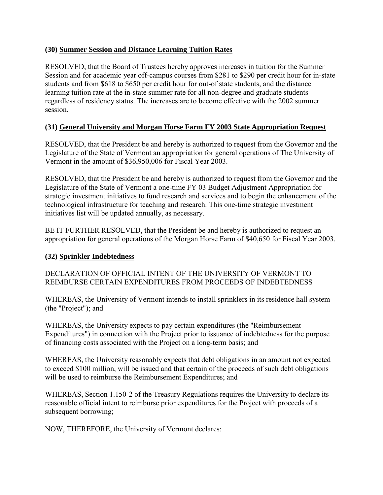## <span id="page-13-0"></span>**(30) Summer Session and Distance Learning Tuition Rates**

RESOLVED, that the Board of Trustees hereby approves increases in tuition for the Summer Session and for academic year off-campus courses from \$281 to \$290 per credit hour for in-state students and from \$618 to \$650 per credit hour for out-of state students, and the distance learning tuition rate at the in-state summer rate for all non-degree and graduate students regardless of residency status. The increases are to become effective with the 2002 summer session.

# **(31) General University and Morgan Horse Farm FY 2003 State Appropriation Request**

RESOLVED, that the President be and hereby is authorized to request from the Governor and the Legislature of the State of Vermont an appropriation for general operations of The University of Vermont in the amount of \$36,950,006 for Fiscal Year 2003.

RESOLVED, that the President be and hereby is authorized to request from the Governor and the Legislature of the State of Vermont a one-time FY 03 Budget Adjustment Appropriation for strategic investment initiatives to fund research and services and to begin the enhancement of the technological infrastructure for teaching and research. This one-time strategic investment initiatives list will be updated annually, as necessary.

BE IT FURTHER RESOLVED, that the President be and hereby is authorized to request an appropriation for general operations of the Morgan Horse Farm of \$40,650 for Fiscal Year 2003.

# **(32) Sprinkler Indebtedness**

DECLARATION OF OFFICIAL INTENT OF THE UNIVERSITY OF VERMONT TO REIMBURSE CERTAIN EXPENDITURES FROM PROCEEDS OF INDEBTEDNESS

WHEREAS, the University of Vermont intends to install sprinklers in its residence hall system (the "Project"); and

WHEREAS, the University expects to pay certain expenditures (the "Reimbursement Expenditures") in connection with the Project prior to issuance of indebtedness for the purpose of financing costs associated with the Project on a long-term basis; and

WHEREAS, the University reasonably expects that debt obligations in an amount not expected to exceed \$100 million, will be issued and that certain of the proceeds of such debt obligations will be used to reimburse the Reimbursement Expenditures; and

WHEREAS, Section 1.150-2 of the Treasury Regulations requires the University to declare its reasonable official intent to reimburse prior expenditures for the Project with proceeds of a subsequent borrowing;

NOW, THEREFORE, the University of Vermont declares: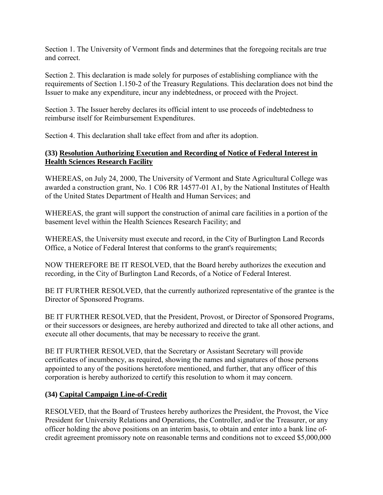<span id="page-14-0"></span>Section 1. The University of Vermont finds and determines that the foregoing recitals are true and correct.

Section 2. This declaration is made solely for purposes of establishing compliance with the requirements of Section 1.150-2 of the Treasury Regulations. This declaration does not bind the Issuer to make any expenditure, incur any indebtedness, or proceed with the Project.

Section 3. The Issuer hereby declares its official intent to use proceeds of indebtedness to reimburse itself for Reimbursement Expenditures.

Section 4. This declaration shall take effect from and after its adoption.

### **(33) Resolution Authorizing Execution and Recording of Notice of Federal Interest in Health Sciences Research Facility**

WHEREAS, on July 24, 2000, The University of Vermont and State Agricultural College was awarded a construction grant, No. 1 C06 RR 14577-01 A1, by the National Institutes of Health of the United States Department of Health and Human Services; and

WHEREAS, the grant will support the construction of animal care facilities in a portion of the basement level within the Health Sciences Research Facility; and

WHEREAS, the University must execute and record, in the City of Burlington Land Records Office, a Notice of Federal Interest that conforms to the grant's requirements;

NOW THEREFORE BE IT RESOLVED, that the Board hereby authorizes the execution and recording, in the City of Burlington Land Records, of a Notice of Federal Interest.

BE IT FURTHER RESOLVED, that the currently authorized representative of the grantee is the Director of Sponsored Programs.

BE IT FURTHER RESOLVED, that the President, Provost, or Director of Sponsored Programs, or their successors or designees, are hereby authorized and directed to take all other actions, and execute all other documents, that may be necessary to receive the grant.

BE IT FURTHER RESOLVED, that the Secretary or Assistant Secretary will provide certificates of incumbency, as required, showing the names and signatures of those persons appointed to any of the positions heretofore mentioned, and further, that any officer of this corporation is hereby authorized to certify this resolution to whom it may concern.

# **(34) Capital Campaign Line-of-Credit**

RESOLVED, that the Board of Trustees hereby authorizes the President, the Provost, the Vice President for University Relations and Operations, the Controller, and/or the Treasurer, or any officer holding the above positions on an interim basis, to obtain and enter into a bank line ofcredit agreement promissory note on reasonable terms and conditions not to exceed \$5,000,000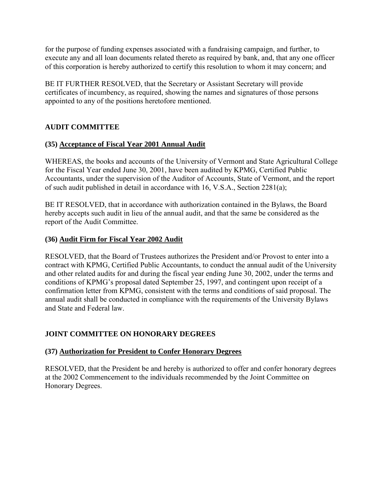<span id="page-15-0"></span>for the purpose of funding expenses associated with a fundraising campaign, and further, to execute any and all loan documents related thereto as required by bank, and, that any one officer of this corporation is hereby authorized to certify this resolution to whom it may concern; and

BE IT FURTHER RESOLVED, that the Secretary or Assistant Secretary will provide certificates of incumbency, as required, showing the names and signatures of those persons appointed to any of the positions heretofore mentioned.

# **AUDIT COMMITTEE**

## **(35) Acceptance of Fiscal Year 2001 Annual Audit**

WHEREAS, the books and accounts of the University of Vermont and State Agricultural College for the Fiscal Year ended June 30, 2001, have been audited by KPMG, Certified Public Accountants, under the supervision of the Auditor of Accounts, State of Vermont, and the report of such audit published in detail in accordance with 16, V.S.A., Section 2281(a);

BE IT RESOLVED, that in accordance with authorization contained in the Bylaws, the Board hereby accepts such audit in lieu of the annual audit, and that the same be considered as the report of the Audit Committee.

### **(36) Audit Firm for Fiscal Year 2002 Audit**

RESOLVED, that the Board of Trustees authorizes the President and/or Provost to enter into a contract with KPMG, Certified Public Accountants, to conduct the annual audit of the University and other related audits for and during the fiscal year ending June 30, 2002, under the terms and conditions of KPMG's proposal dated September 25, 1997, and contingent upon receipt of a confirmation letter from KPMG, consistent with the terms and conditions of said proposal. The annual audit shall be conducted in compliance with the requirements of the University Bylaws and State and Federal law.

# **JOINT COMMITTEE ON HONORARY DEGREES**

### **(37) Authorization for President to Confer Honorary Degrees**

RESOLVED, that the President be and hereby is authorized to offer and confer honorary degrees at the 2002 Commencement to the individuals recommended by the Joint Committee on Honorary Degrees.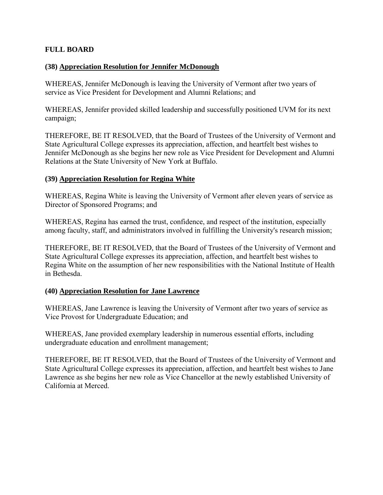### <span id="page-16-0"></span>**FULL BOARD**

### **(38) Appreciation Resolution for Jennifer McDonough**

WHEREAS, Jennifer McDonough is leaving the University of Vermont after two years of service as Vice President for Development and Alumni Relations; and

WHEREAS, Jennifer provided skilled leadership and successfully positioned UVM for its next campaign;

THEREFORE, BE IT RESOLVED, that the Board of Trustees of the University of Vermont and State Agricultural College expresses its appreciation, affection, and heartfelt best wishes to Jennifer McDonough as she begins her new role as Vice President for Development and Alumni Relations at the State University of New York at Buffalo.

#### **(39) Appreciation Resolution for Regina White**

WHEREAS, Regina White is leaving the University of Vermont after eleven years of service as Director of Sponsored Programs; and

WHEREAS, Regina has earned the trust, confidence, and respect of the institution, especially among faculty, staff, and administrators involved in fulfilling the University's research mission;

THEREFORE, BE IT RESOLVED, that the Board of Trustees of the University of Vermont and State Agricultural College expresses its appreciation, affection, and heartfelt best wishes to Regina White on the assumption of her new responsibilities with the National Institute of Health in Bethesda.

### **(40) Appreciation Resolution for Jane Lawrence**

WHEREAS, Jane Lawrence is leaving the University of Vermont after two years of service as Vice Provost for Undergraduate Education; and

WHEREAS, Jane provided exemplary leadership in numerous essential efforts, including undergraduate education and enrollment management;

THEREFORE, BE IT RESOLVED, that the Board of Trustees of the University of Vermont and State Agricultural College expresses its appreciation, affection, and heartfelt best wishes to Jane Lawrence as she begins her new role as Vice Chancellor at the newly established University of California at Merced.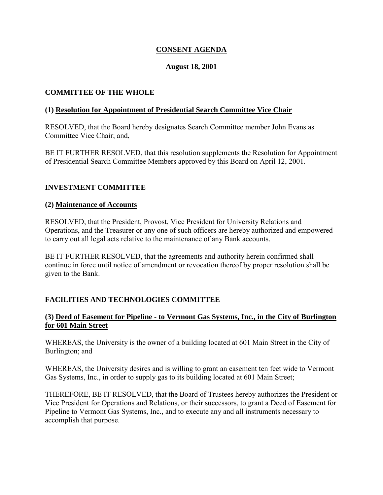## **CONSENT AGENDA**

### **August 18, 2001**

### <span id="page-17-0"></span>**COMMITTEE OF THE WHOLE**

#### **(1) Resolution for Appointment of Presidential Search Committee Vice Chair**

RESOLVED, that the Board hereby designates Search Committee member John Evans as Committee Vice Chair; and,

BE IT FURTHER RESOLVED, that this resolution supplements the Resolution for Appointment of Presidential Search Committee Members approved by this Board on April 12, 2001.

### **INVESTMENT COMMITTEE**

#### **(2) Maintenance of Accounts**

RESOLVED, that the President, Provost, Vice President for University Relations and Operations, and the Treasurer or any one of such officers are hereby authorized and empowered to carry out all legal acts relative to the maintenance of any Bank accounts.

BE IT FURTHER RESOLVED, that the agreements and authority herein confirmed shall continue in force until notice of amendment or revocation thereof by proper resolution shall be given to the Bank.

### **FACILITIES AND TECHNOLOGIES COMMITTEE**

### **(3) Deed of Easement for Pipeline** - **to Vermont Gas Systems, Inc., in the City of Burlington for 601 Main Street**

WHEREAS, the University is the owner of a building located at 601 Main Street in the City of Burlington; and

WHEREAS, the University desires and is willing to grant an easement ten feet wide to Vermont Gas Systems, Inc., in order to supply gas to its building located at 601 Main Street;

THEREFORE, BE IT RESOLVED, that the Board of Trustees hereby authorizes the President or Vice President for Operations and Relations, or their successors, to grant a Deed of Easement for Pipeline to Vermont Gas Systems, Inc., and to execute any and all instruments necessary to accomplish that purpose.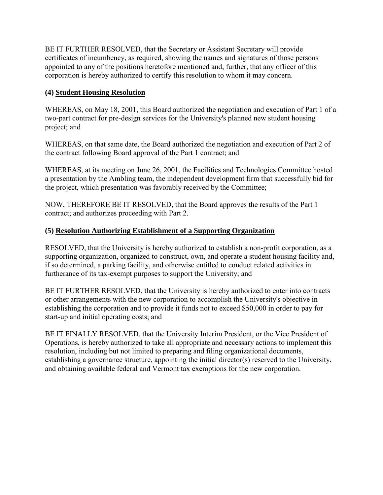<span id="page-18-0"></span>BE IT FURTHER RESOLVED, that the Secretary or Assistant Secretary will provide certificates of incumbency, as required, showing the names and signatures of those persons appointed to any of the positions heretofore mentioned and, further, that any officer of this corporation is hereby authorized to certify this resolution to whom it may concern.

# **(4) Student Housing Resolution**

WHEREAS, on May 18, 2001, this Board authorized the negotiation and execution of Part 1 of a two-part contract for pre-design services for the University's planned new student housing project; and

WHEREAS, on that same date, the Board authorized the negotiation and execution of Part 2 of the contract following Board approval of the Part 1 contract; and

WHEREAS, at its meeting on June 26, 2001, the Facilities and Technologies Committee hosted a presentation by the Ambling team, the independent development firm that successfully bid for the project, which presentation was favorably received by the Committee;

NOW, THEREFORE BE IT RESOLVED, that the Board approves the results of the Part 1 contract; and authorizes proceeding with Part 2.

## **(5) Resolution Authorizing Establishment of a Supporting Organization**

RESOLVED, that the University is hereby authorized to establish a non-profit corporation, as a supporting organization, organized to construct, own, and operate a student housing facility and, if so determined, a parking facility, and otherwise entitled to conduct related activities in furtherance of its tax-exempt purposes to support the University; and

BE IT FURTHER RESOLVED, that the University is hereby authorized to enter into contracts or other arrangements with the new corporation to accomplish the University's objective in establishing the corporation and to provide it funds not to exceed \$50,000 in order to pay for start-up and initial operating costs; and

BE IT FINALLY RESOLVED, that the University Interim President, or the Vice President of Operations, is hereby authorized to take all appropriate and necessary actions to implement this resolution, including but not limited to preparing and filing organizational documents, establishing a governance structure, appointing the initial director(s) reserved to the University, and obtaining available federal and Vermont tax exemptions for the new corporation.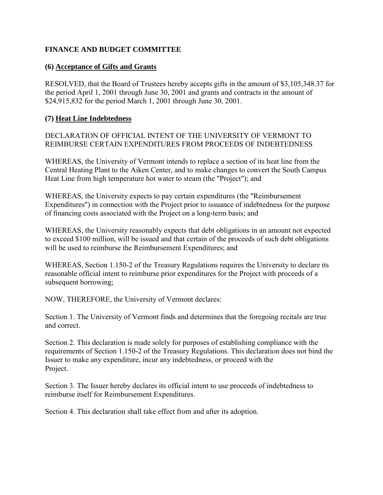### <span id="page-19-0"></span>**FINANCE AND BUDGET COMMITTEE**

### **(6) Acceptance of Gifts and Grants**

RESOLVED, that the Board of Trustees hereby accepts gifts in the amount of \$3,105,348.37 for the period April 1, 2001 through June 30, 2001 and grants and contracts in the amount of \$24,915,832 for the period March 1, 2001 through June 30, 2001.

### **(7) Heat Line Indebtedness**

DECLARATION OF OFFICIAL INTENT OF THE UNIVERSITY OF VERMONT TO REIMBURSE CERTAIN EXPENDITURES FROM PROCEEDS OF INDEBTEDNESS

WHEREAS, the University of Vermont intends to replace a section of its heat line from the Central Heating Plant to the Aiken Center, and to make changes to convert the South Campus Heat Line from high temperature hot water to steam (the "Project"); and

WHEREAS, the University expects to pay certain expenditures (the "Reimbursement Expenditures") in connection with the Project prior to issuance of indebtedness for the purpose of financing costs associated with the Project on a long-term basis; and

WHEREAS, the University reasonably expects that debt obligations in an amount not expected to exceed \$100 million, will be issued and that certain of the proceeds of such debt obligations will be used to reimburse the Reimbursement Expenditures; and

WHEREAS, Section 1.150-2 of the Treasury Regulations requires the University to declare its reasonable official intent to reimburse prior expenditures for the Project with proceeds of a subsequent borrowing;

NOW, THEREFORE, the University of Vermont declares:

Section 1. The University of Vermont finds and determines that the foregoing recitals are true and correct.

Section 2. This declaration is made solely for purposes of establishing compliance with the requirements of Section 1.150-2 of the Treasury Regulations. This declaration does not bind the Issuer to make any expenditure, incur any indebtedness, or proceed with the Project.

Section 3. The Issuer hereby declares its official intent to use proceeds of indebtedness to reimburse itself for Reimbursement Expenditures.

Section 4. This declaration shall take effect from and after its adoption.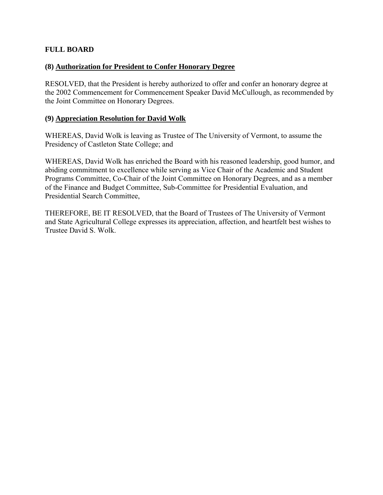### <span id="page-20-0"></span>**FULL BOARD**

### **(8) Authorization for President to Confer Honorary Degree**

RESOLVED, that the President is hereby authorized to offer and confer an honorary degree at the 2002 Commencement for Commencement Speaker David McCullough, as recommended by the Joint Committee on Honorary Degrees.

#### **(9) Appreciation Resolution for David Wolk**

WHEREAS, David Wolk is leaving as Trustee of The University of Vermont, to assume the Presidency of Castleton State College; and

WHEREAS, David Wolk has enriched the Board with his reasoned leadership, good humor, and abiding commitment to excellence while serving as Vice Chair of the Academic and Student Programs Committee, Co-Chair of the Joint Committee on Honorary Degrees, and as a member of the Finance and Budget Committee, Sub-Committee for Presidential Evaluation, and Presidential Search Committee,

THEREFORE, BE IT RESOLVED, that the Board of Trustees of The University of Vermont and State Agricultural College expresses its appreciation, affection, and heartfelt best wishes to Trustee David S. Wolk.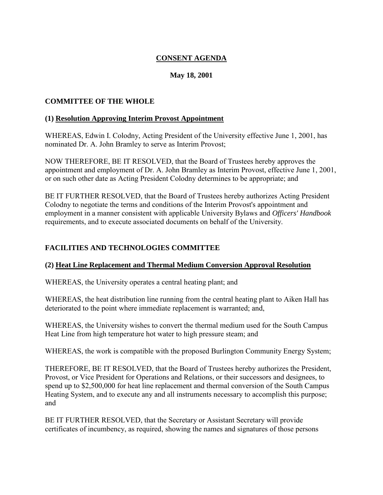# **CONSENT AGENDA**

# **May 18, 2001**

### <span id="page-21-0"></span>**COMMITTEE OF THE WHOLE**

#### **(1) Resolution Approving Interim Provost Appointment**

WHEREAS, Edwin I. Colodny, Acting President of the University effective June 1, 2001, has nominated Dr. A. John Bramley to serve as Interim Provost;

NOW THEREFORE, BE IT RESOLVED, that the Board of Trustees hereby approves the appointment and employment of Dr. A. John Bramley as Interim Provost, effective June 1, 2001, or on such other date as Acting President Colodny determines to be appropriate; and

BE IT FURTHER RESOLVED, that the Board of Trustees hereby authorizes Acting President Colodny to negotiate the terms and conditions of the Interim Provost's appointment and employment in a manner consistent with applicable University Bylaws and *Officers' Handbook*  requirements, and to execute associated documents on behalf of the University.

# **FACILITIES AND TECHNOLOGIES COMMITTEE**

### **(2) Heat Line Replacement and Thermal Medium Conversion Approval Resolution**

WHEREAS, the University operates a central heating plant; and

WHEREAS, the heat distribution line running from the central heating plant to Aiken Hall has deteriorated to the point where immediate replacement is warranted; and,

WHEREAS, the University wishes to convert the thermal medium used for the South Campus Heat Line from high temperature hot water to high pressure steam; and

WHEREAS, the work is compatible with the proposed Burlington Community Energy System;

THEREFORE, BE IT RESOLVED, that the Board of Trustees hereby authorizes the President, Provost, or Vice President for Operations and Relations, or their successors and designees, to spend up to \$2,500,000 for heat line replacement and thermal conversion of the South Campus Heating System, and to execute any and all instruments necessary to accomplish this purpose; and

BE IT FURTHER RESOLVED, that the Secretary or Assistant Secretary will provide certificates of incumbency, as required, showing the names and signatures of those persons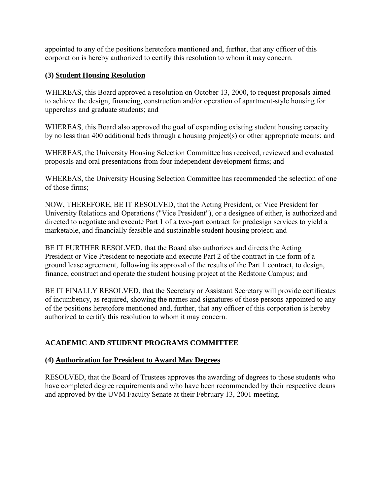<span id="page-22-0"></span>appointed to any of the positions heretofore mentioned and, further, that any officer of this corporation is hereby authorized to certify this resolution to whom it may concern.

# **(3) Student Housing Resolution**

WHEREAS, this Board approved a resolution on October 13, 2000, to request proposals aimed to achieve the design, financing, construction and/or operation of apartment-style housing for upperclass and graduate students; and

WHEREAS, this Board also approved the goal of expanding existing student housing capacity by no less than 400 additional beds through a housing project(s) or other appropriate means; and

WHEREAS, the University Housing Selection Committee has received, reviewed and evaluated proposals and oral presentations from four independent development firms; and

WHEREAS, the University Housing Selection Committee has recommended the selection of one of those firms;

NOW, THEREFORE, BE IT RESOLVED, that the Acting President, or Vice President for University Relations and Operations ("Vice President"), or a designee of either, is authorized and directed to negotiate and execute Part 1 of a two-part contract for predesign services to yield a marketable, and financially feasible and sustainable student housing project; and

BE IT FURTHER RESOLVED, that the Board also authorizes and directs the Acting President or Vice President to negotiate and execute Part 2 of the contract in the form of a ground lease agreement, following its approval of the results of the Part 1 contract, to design, finance, construct and operate the student housing project at the Redstone Campus; and

BE IT FINALLY RESOLVED, that the Secretary or Assistant Secretary will provide certificates of incumbency, as required, showing the names and signatures of those persons appointed to any of the positions heretofore mentioned and, further, that any officer of this corporation is hereby authorized to certify this resolution to whom it may concern.

# **ACADEMIC AND STUDENT PROGRAMS COMMITTEE**

# **(4) Authorization for President to Award May Degrees**

RESOLVED, that the Board of Trustees approves the awarding of degrees to those students who have completed degree requirements and who have been recommended by their respective deans and approved by the UVM Faculty Senate at their February 13, 2001 meeting.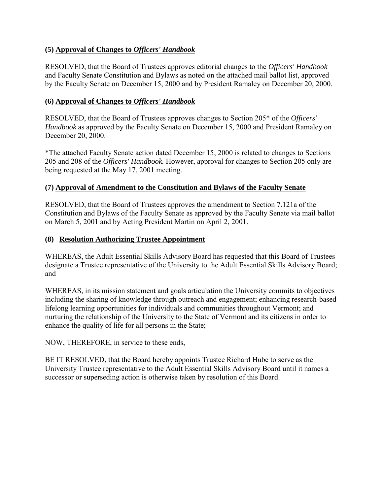## <span id="page-23-0"></span>**(5) Approval of Changes to** *Officers' Handbook*

RESOLVED, that the Board of Trustees approves editorial changes to the *Officers' Handbook*  and Faculty Senate Constitution and Bylaws as noted on the attached mail ballot list, approved by the Faculty Senate on December 15, 2000 and by President Ramaley on December 20, 2000.

### **(6) Approval of Changes to** *Officers' Handbook*

RESOLVED, that the Board of Trustees approves changes to Section 205\* of the *Officers' Handbook* as approved by the Faculty Senate on December 15, 2000 and President Ramaley on December 20, 2000.

\*The attached Faculty Senate action dated December 15, 2000 is related to changes to Sections 205 and 208 of the *Officers' Handbook.* However, approval for changes to Section 205 only are being requested at the May 17, 2001 meeting.

## **(7) Approval of Amendment to the Constitution and Bylaws of the Faculty Senate**

RESOLVED, that the Board of Trustees approves the amendment to Section 7.121a of the Constitution and Bylaws of the Faculty Senate as approved by the Faculty Senate via mail ballot on March 5, 2001 and by Acting President Martin on April 2, 2001.

### **(8) Resolution Authorizing Trustee Appointment**

WHEREAS, the Adult Essential Skills Advisory Board has requested that this Board of Trustees designate a Trustee representative of the University to the Adult Essential Skills Advisory Board; and

WHEREAS, in its mission statement and goals articulation the University commits to objectives including the sharing of knowledge through outreach and engagement; enhancing research-based lifelong learning opportunities for individuals and communities throughout Vermont; and nurturing the relationship of the University to the State of Vermont and its citizens in order to enhance the quality of life for all persons in the State;

NOW, THEREFORE, in service to these ends,

BE IT RESOLVED, that the Board hereby appoints Trustee Richard Hube to serve as the University Trustee representative to the Adult Essential Skills Advisory Board until it names a successor or superseding action is otherwise taken by resolution of this Board.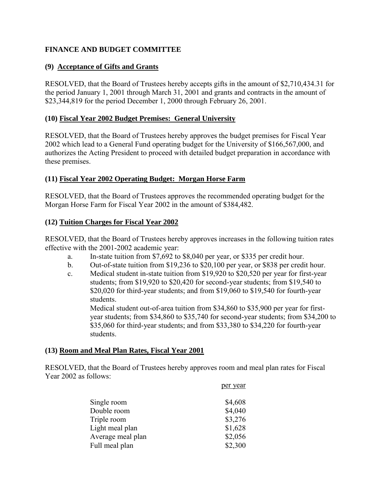# <span id="page-24-0"></span>**FINANCE AND BUDGET COMMITTEE**

### **(9) Acceptance of Gifts and Grants**

RESOLVED, that the Board of Trustees hereby accepts gifts in the amount of \$2,710,434.31 for the period January 1, 2001 through March 31, 2001 and grants and contracts in the amount of \$23,344,819 for the period December 1, 2000 through February 26, 2001.

#### **(10) Fiscal Year 2002 Budget Premises: General University**

RESOLVED, that the Board of Trustees hereby approves the budget premises for Fiscal Year 2002 which lead to a General Fund operating budget for the University of \$166,567,000, and authorizes the Acting President to proceed with detailed budget preparation in accordance with these premises.

#### **(11) Fiscal Year 2002 Operating Budget: Morgan Horse Farm**

RESOLVED, that the Board of Trustees approves the recommended operating budget for the Morgan Horse Farm for Fiscal Year 2002 in the amount of \$384,482.

#### **(12) Tuition Charges for Fiscal Year 2002**

RESOLVED, that the Board of Trustees hereby approves increases in the following tuition rates effective with the 2001-2002 academic year:

- a. In-state tuition from \$7,692 to \$8,040 per year, or \$335 per credit hour.
- b. Out-of-state tuition from \$19,236 to \$20,100 per year, or \$838 per credit hour.
- c. Medical student in-state tuition from \$19,920 to \$20,520 per year for first-year students; from \$19,920 to \$20,420 for second-year students; from \$19,540 to \$20,020 for third-year students; and from \$19,060 to \$19,540 for fourth-year students.

Medical student out-of-area tuition from \$34,860 to \$35,900 per year for firstyear students; from \$34,860 to \$35,740 for second-year students; from \$34,200 to \$35,060 for third-year students; and from \$33,380 to \$34,220 for fourth-year students.

per year

### **(13) Room and Meal Plan Rates, Fiscal Year 2001**

RESOLVED, that the Board of Trustees hereby approves room and meal plan rates for Fiscal Year 2002 as follows:

| Single room       | \$4,608 |
|-------------------|---------|
| Double room       | \$4,040 |
| Triple room       | \$3,276 |
| Light meal plan   | \$1,628 |
| Average meal plan | \$2,056 |
| Full meal plan    | \$2,300 |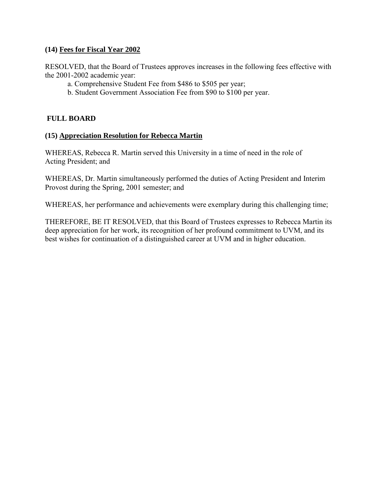### <span id="page-25-0"></span>**(14) Fees for Fiscal Year 2002**

RESOLVED, that the Board of Trustees approves increases in the following fees effective with the 2001-2002 academic year:

- a. Comprehensive Student Fee from \$486 to \$505 per year;
- b. Student Government Association Fee from \$90 to \$100 per year.

### **FULL BOARD**

#### **(15) Appreciation Resolution for Rebecca Martin**

WHEREAS, Rebecca R. Martin served this University in a time of need in the role of Acting President; and

WHEREAS, Dr. Martin simultaneously performed the duties of Acting President and Interim Provost during the Spring, 2001 semester; and

WHEREAS, her performance and achievements were exemplary during this challenging time;

THEREFORE, BE IT RESOLVED, that this Board of Trustees expresses to Rebecca Martin its deep appreciation for her work, its recognition of her profound commitment to UVM, and its best wishes for continuation of a distinguished career at UVM and in higher education.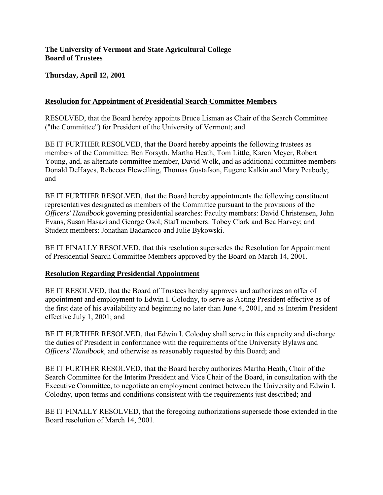### <span id="page-26-0"></span>**The University of Vermont and State Agricultural College Board of Trustees**

**Thursday, April 12, 2001** 

## **Resolution for Appointment of Presidential Search Committee Members**

RESOLVED, that the Board hereby appoints Bruce Lisman as Chair of the Search Committee ("the Committee") for President of the University of Vermont; and

BE IT FURTHER RESOLVED, that the Board hereby appoints the following trustees as members of the Committee: Ben Forsyth, Martha Heath, Tom Little, Karen Meyer, Robert Young, and, as alternate committee member, David Wolk, and as additional committee members Donald DeHayes, Rebecca Flewelling, Thomas Gustafson, Eugene Kalkin and Mary Peabody; and

BE IT FURTHER RESOLVED, that the Board hereby appointments the following constituent representatives designated as members of the Committee pursuant to the provisions of the *Officers' Handbook* governing presidential searches: Faculty members: David Christensen, John Evans, Susan Hasazi and George Osol; Staff members: Tobey Clark and Bea Harvey; and Student members: Jonathan Badaracco and Julie Bykowski.

BE IT FINALLY RESOLVED, that this resolution supersedes the Resolution for Appointment of Presidential Search Committee Members approved by the Board on March 14, 2001.

### **Resolution Regarding Presidential Appointment**

BE IT RESOLVED, that the Board of Trustees hereby approves and authorizes an offer of appointment and employment to Edwin I. Colodny, to serve as Acting President effective as of the first date of his availability and beginning no later than June 4, 2001, and as Interim President effective July 1, 2001; and

BE IT FURTHER RESOLVED, that Edwin I. Colodny shall serve in this capacity and discharge the duties of President in conformance with the requirements of the University Bylaws and *Officers' Handbook,* and otherwise as reasonably requested by this Board; and

BE IT FURTHER RESOLVED, that the Board hereby authorizes Martha Heath, Chair of the Search Committee for the Interim President and Vice Chair of the Board, in consultation with the Executive Committee, to negotiate an employment contract between the University and Edwin I. Colodny, upon terms and conditions consistent with the requirements just described; and

BE IT FINALLY RESOLVED, that the foregoing authorizations supersede those extended in the Board resolution of March 14, 2001.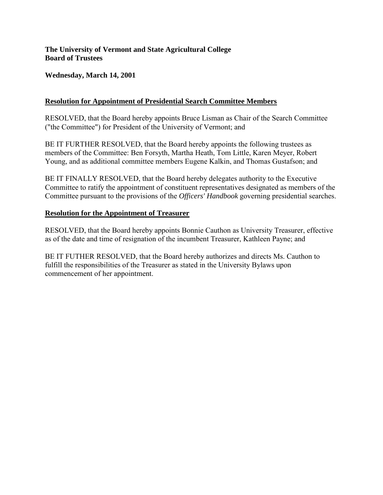### <span id="page-27-0"></span>**The University of Vermont and State Agricultural College Board of Trustees**

## **Wednesday, March 14, 2001**

### **Resolution for Appointment of Presidential Search Committee Members**

RESOLVED, that the Board hereby appoints Bruce Lisman as Chair of the Search Committee ("the Committee") for President of the University of Vermont; and

BE IT FURTHER RESOLVED, that the Board hereby appoints the following trustees as members of the Committee: Ben Forsyth, Martha Heath, Tom Little, Karen Meyer, Robert Young, and as additional committee members Eugene Kalkin, and Thomas Gustafson; and

BE IT FINALLY RESOLVED, that the Board hereby delegates authority to the Executive Committee to ratify the appointment of constituent representatives designated as members of the Committee pursuant to the provisions of the *Officers' Handbook* governing presidential searches.

### **Resolution for the Appointment of Treasurer**

RESOLVED, that the Board hereby appoints Bonnie Cauthon as University Treasurer, effective as of the date and time of resignation of the incumbent Treasurer, Kathleen Payne; and

BE IT FUTHER RESOLVED, that the Board hereby authorizes and directs Ms. Cauthon to fulfill the responsibilities of the Treasurer as stated in the University Bylaws upon commencement of her appointment.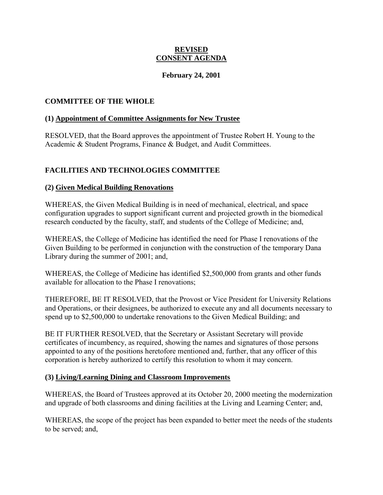#### **REVISED CONSENT AGENDA**

### **February 24, 2001**

### <span id="page-28-0"></span>**COMMITTEE OF THE WHOLE**

### **(1) Appointment of Committee Assignments for New Trustee**

RESOLVED, that the Board approves the appointment of Trustee Robert H. Young to the Academic & Student Programs, Finance & Budget, and Audit Committees.

# **FACILITIES AND TECHNOLOGIES COMMITTEE**

## **(2) Given Medical Building Renovations**

WHEREAS, the Given Medical Building is in need of mechanical, electrical, and space configuration upgrades to support significant current and projected growth in the biomedical research conducted by the faculty, staff, and students of the College of Medicine; and,

WHEREAS, the College of Medicine has identified the need for Phase I renovations of the Given Building to be performed in conjunction with the construction of the temporary Dana Library during the summer of 2001; and,

WHEREAS, the College of Medicine has identified \$2,500,000 from grants and other funds available for allocation to the Phase I renovations;

THEREFORE, BE IT RESOLVED, that the Provost or Vice President for University Relations and Operations, or their designees, be authorized to execute any and all documents necessary to spend up to \$2,500,000 to undertake renovations to the Given Medical Building; and

BE IT FURTHER RESOLVED, that the Secretary or Assistant Secretary will provide certificates of incumbency, as required, showing the names and signatures of those persons appointed to any of the positions heretofore mentioned and, further, that any officer of this corporation is hereby authorized to certify this resolution to whom it may concern.

### **(3) Living/Learning Dining and Classroom Improvements**

WHEREAS, the Board of Trustees approved at its October 20, 2000 meeting the modernization and upgrade of both classrooms and dining facilities at the Living and Learning Center; and,

WHEREAS, the scope of the project has been expanded to better meet the needs of the students to be served; and,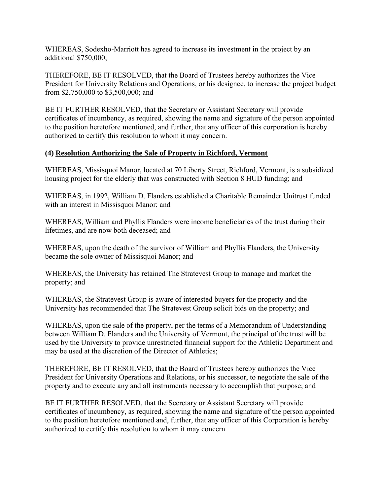<span id="page-29-0"></span>WHEREAS, Sodexho-Marriott has agreed to increase its investment in the project by an additional \$750,000;

THEREFORE, BE IT RESOLVED, that the Board of Trustees hereby authorizes the Vice President for University Relations and Operations, or his designee, to increase the project budget from \$2,750,000 to \$3,500,000; and

BE IT FURTHER RESOLVED, that the Secretary or Assistant Secretary will provide certificates of incumbency, as required, showing the name and signature of the person appointed to the position heretofore mentioned, and further, that any officer of this corporation is hereby authorized to certify this resolution to whom it may concern.

### **(4) Resolution Authorizing the Sale of Property in Richford, Vermont**

WHEREAS, Missisquoi Manor, located at 70 Liberty Street, Richford, Vermont, is a subsidized housing project for the elderly that was constructed with Section 8 HUD funding; and

WHEREAS, in 1992, William D. Flanders established a Charitable Remainder Unitrust funded with an interest in Missisquoi Manor; and

WHEREAS, William and Phyllis Flanders were income beneficiaries of the trust during their lifetimes, and are now both deceased; and

WHEREAS, upon the death of the survivor of William and Phyllis Flanders, the University became the sole owner of Missisquoi Manor; and

WHEREAS, the University has retained The Stratevest Group to manage and market the property; and

WHEREAS, the Stratevest Group is aware of interested buyers for the property and the University has recommended that The Stratevest Group solicit bids on the property; and

WHEREAS, upon the sale of the property, per the terms of a Memorandum of Understanding between William D. Flanders and the University of Vermont, the principal of the trust will be used by the University to provide unrestricted financial support for the Athletic Department and may be used at the discretion of the Director of Athletics;

THEREFORE, BE IT RESOLVED, that the Board of Trustees hereby authorizes the Vice President for University Operations and Relations, or his successor, to negotiate the sale of the property and to execute any and all instruments necessary to accomplish that purpose; and

BE IT FURTHER RESOLVED, that the Secretary or Assistant Secretary will provide certificates of incumbency, as required, showing the name and signature of the person appointed to the position heretofore mentioned and, further, that any officer of this Corporation is hereby authorized to certify this resolution to whom it may concern.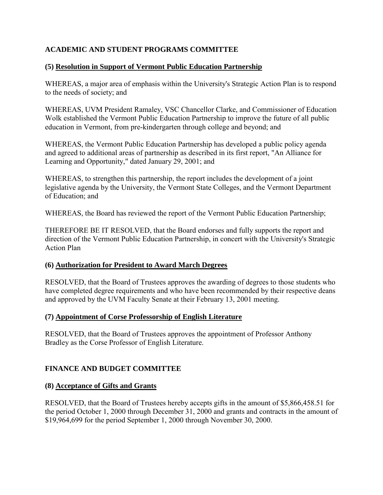# <span id="page-30-0"></span>**ACADEMIC AND STUDENT PROGRAMS COMMITTEE**

## **(5) Resolution in Support of Vermont Public Education Partnership**

WHEREAS, a major area of emphasis within the University's Strategic Action Plan is to respond to the needs of society; and

WHEREAS, UVM President Ramaley, VSC Chancellor Clarke, and Commissioner of Education Wolk established the Vermont Public Education Partnership to improve the future of all public education in Vermont, from pre-kindergarten through college and beyond; and

WHEREAS, the Vermont Public Education Partnership has developed a public policy agenda and agreed to additional areas of partnership as described in its first report, "An Alliance for Learning and Opportunity," dated January 29, 2001; and

WHEREAS, to strengthen this partnership, the report includes the development of a joint legislative agenda by the University, the Vermont State Colleges, and the Vermont Department of Education; and

WHEREAS, the Board has reviewed the report of the Vermont Public Education Partnership;

THEREFORE BE IT RESOLVED, that the Board endorses and fully supports the report and direction of the Vermont Public Education Partnership, in concert with the University's Strategic Action Plan

### **(6) Authorization for President to Award March Degrees**

RESOLVED, that the Board of Trustees approves the awarding of degrees to those students who have completed degree requirements and who have been recommended by their respective deans and approved by the UVM Faculty Senate at their February 13, 2001 meeting.

### **(7) Appointment of Corse Professorship of English Literature**

RESOLVED, that the Board of Trustees approves the appointment of Professor Anthony Bradley as the Corse Professor of English Literature.

# **FINANCE AND BUDGET COMMITTEE**

### **(8) Acceptance of Gifts and Grants**

RESOLVED, that the Board of Trustees hereby accepts gifts in the amount of \$5,866,458.51 for the period October 1, 2000 through December 31, 2000 and grants and contracts in the amount of \$19,964,699 for the period September 1, 2000 through November 30, 2000.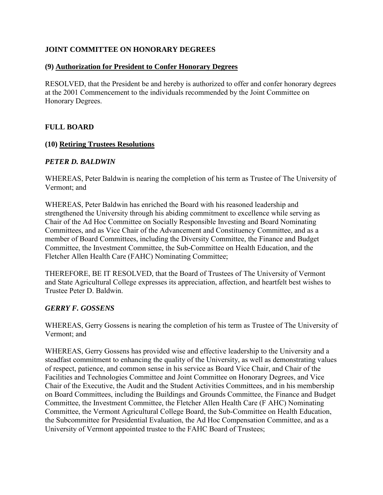## <span id="page-31-0"></span>**JOINT COMMITTEE ON HONORARY DEGREES**

### **(9) Authorization for President to Confer Honorary Degrees**

RESOLVED, that the President be and hereby is authorized to offer and confer honorary degrees at the 2001 Commencement to the individuals recommended by the Joint Committee on Honorary Degrees.

## **FULL BOARD**

### **(10) Retiring Trustees Resolutions**

### *PETER D. BALDWIN*

WHEREAS, Peter Baldwin is nearing the completion of his term as Trustee of The University of Vermont; and

WHEREAS, Peter Baldwin has enriched the Board with his reasoned leadership and strengthened the University through his abiding commitment to excellence while serving as Chair of the Ad Hoc Committee on Socially Responsible Investing and Board Nominating Committees, and as Vice Chair of the Advancement and Constituency Committee, and as a member of Board Committees, including the Diversity Committee, the Finance and Budget Committee, the Investment Committee, the Sub-Committee on Health Education, and the Fletcher Allen Health Care (FAHC) Nominating Committee;

THEREFORE, BE IT RESOLVED, that the Board of Trustees of The University of Vermont and State Agricultural College expresses its appreciation, affection, and heartfelt best wishes to Trustee Peter D. Baldwin.

### *GERRY F. GOSSENS*

WHEREAS, Gerry Gossens is nearing the completion of his term as Trustee of The University of Vermont; and

WHEREAS, Gerry Gossens has provided wise and effective leadership to the University and a steadfast commitment to enhancing the quality of the University, as well as demonstrating values of respect, patience, and common sense in his service as Board Vice Chair, and Chair of the Facilities and Technologies Committee and Joint Committee on Honorary Degrees, and Vice Chair of the Executive, the Audit and the Student Activities Committees, and in his membership on Board Committees, including the Buildings and Grounds Committee, the Finance and Budget Committee, the Investment Committee, the Fletcher Allen Health Care (F AHC) Nominating Committee, the Vermont Agricultural College Board, the Sub-Committee on Health Education, the Subcommittee for Presidential Evaluation, the Ad Hoc Compensation Committee, and as a University of Vermont appointed trustee to the FAHC Board of Trustees;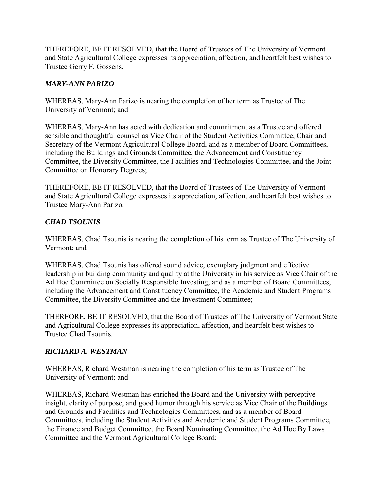THEREFORE, BE IT RESOLVED, that the Board of Trustees of The University of Vermont and State Agricultural College expresses its appreciation, affection, and heartfelt best wishes to Trustee Gerry F. Gossens.

## *MARY-ANN PARIZO*

WHEREAS, Mary-Ann Parizo is nearing the completion of her term as Trustee of The University of Vermont; and

WHEREAS, Mary-Ann has acted with dedication and commitment as a Trustee and offered sensible and thoughtful counsel as Vice Chair of the Student Activities Committee, Chair and Secretary of the Vermont Agricultural College Board, and as a member of Board Committees, including the Buildings and Grounds Committee, the Advancement and Constituency Committee, the Diversity Committee, the Facilities and Technologies Committee, and the Joint Committee on Honorary Degrees;

THEREFORE, BE IT RESOLVED, that the Board of Trustees of The University of Vermont and State Agricultural College expresses its appreciation, affection, and heartfelt best wishes to Trustee Mary-Ann Parizo.

## *CHAD TSOUNIS*

WHEREAS, Chad Tsounis is nearing the completion of his term as Trustee of The University of Vermont; and

WHEREAS, Chad Tsounis has offered sound advice, exemplary judgment and effective leadership in building community and quality at the University in his service as Vice Chair of the Ad Hoc Committee on Socially Responsible Investing, and as a member of Board Committees, including the Advancement and Constituency Committee, the Academic and Student Programs Committee, the Diversity Committee and the Investment Committee;

THERFORE, BE IT RESOLVED, that the Board of Trustees of The University of Vermont State and Agricultural College expresses its appreciation, affection, and heartfelt best wishes to Trustee Chad Tsounis.

### *RICHARD A. WESTMAN*

WHEREAS, Richard Westman is nearing the completion of his term as Trustee of The University of Vermont; and

WHEREAS, Richard Westman has enriched the Board and the University with perceptive insight, clarity of purpose, and good humor through his service as Vice Chair of the Buildings and Grounds and Facilities and Technologies Committees, and as a member of Board Committees, including the Student Activities and Academic and Student Programs Committee, the Finance and Budget Committee, the Board Nominating Committee, the Ad Hoc By Laws Committee and the Vermont Agricultural College Board;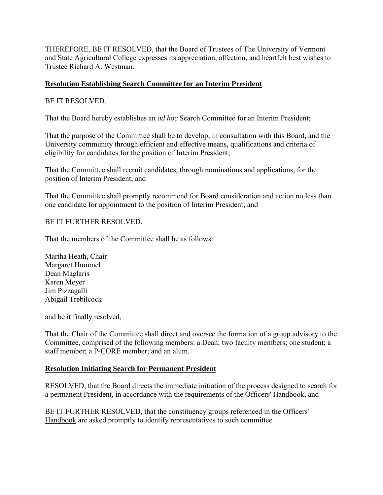<span id="page-33-0"></span>THEREFORE, BE IT RESOLVED, that the Board of Trustees of The University of Vermont and State Agricultural College expresses its appreciation, affection, and heartfelt best wishes to Trustee Richard A. Westman.

### **Resolution Establishing Search Committee for an Interim President**

### BE IT RESOLVED,

That the Board hereby establishes an *ad hoc* Search Committee for an Interim President;

That the purpose of the Committee shall be to develop, in consultation with this Board, and the University community through efficient and effective means, qualifications and criteria of eligibility for candidates for the position of Interim President;

That the Committee shall recruit candidates, through nominations and applications, for the position of Interim President; and

That the Committee shall promptly recommend for Board consideration and action no less than one candidate for appointment to the position of Interim President; and

## BE IT FURTHER RESOLVED,

That the members of the Committee shall be as follows:

Martha Heath, Chair Margaret Hummel Dean Maglaris Karen Meyer Jim Pizzagalli Abigail Trebilcock

and be it finally resolved,

That the Chair of the Committee shall direct and oversee the formation of a group advisory to the Committee, comprised of the following members: a Dean; two faculty members; one student; a staff member; a P-CORE member; and an alum.

### **Resolution Initiating Search for Permanent President**

RESOLVED, that the Board directs the immediate initiation of the process designed to search for a permanent President, in accordance with the requirements of the Officers' Handbook, and

BE IT FURTHER RESOLVED, that the constituency groups referenced in the Officers' Handbook are asked promptly to identify representatives to such committee.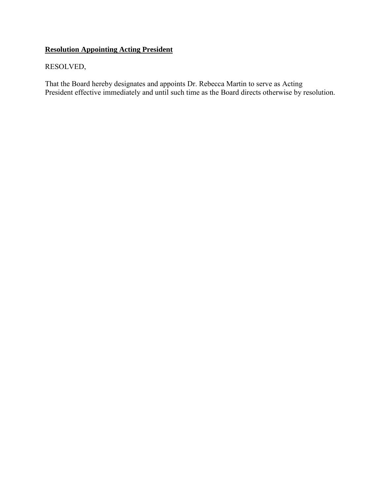# **Resolution Appointing Acting President**

# RESOLVED,

That the Board hereby designates and appoints Dr. Rebecca Martin to serve as Acting President effective immediately and until such time as the Board directs otherwise by resolution.